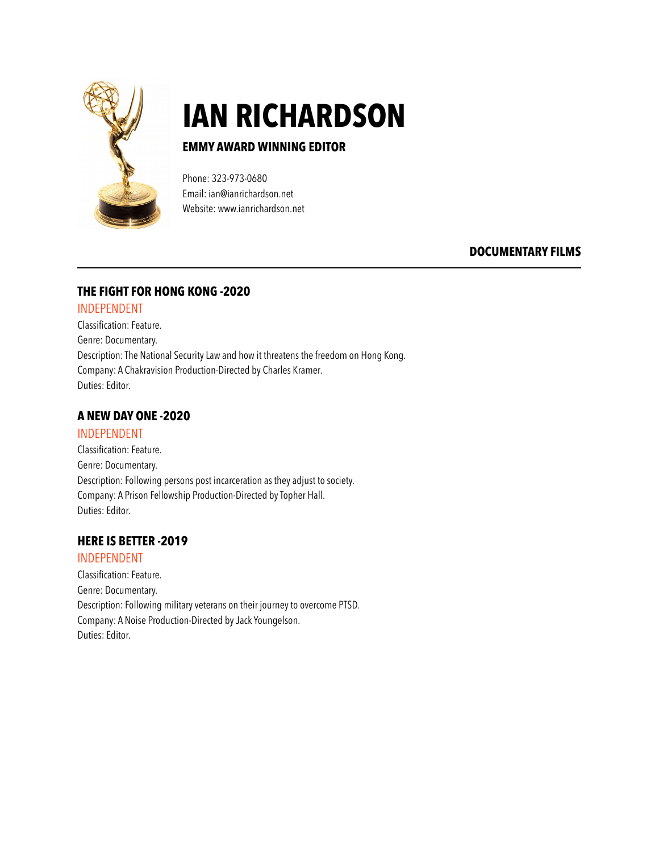

# **IAN RICHARDSON**<br>EMMY AWARD WINNING EDITOR

Phone: 323-973-0680 Email: ian@ianrichardson.net Website: www.ianrichardson.net

# **DOCUMENTARY FILMS**

# **THE FIGHT FOR HONG KONG -2020**

#### INDEPENDENT

Classification: Feature. Genre: Documentary. Description: The National Security Law and how it threatens the freedom on Hong Kong. Company: A Chakravision Production-Directed by Charles Kramer. Duties: Editor.

# **A NEW DAY ONE -2020**

#### INDEPENDENT

Classification: Feature. Genre: Documentary. Description: Following persons post incarceration as they adjust to society. Company: A Prison Fellowship Production-Directed by Topher Hall. Duties: Editor.

# **HERE IS BETTER -2019**

#### INDEPENDENT

Classification: Feature. Genre: Documentary. Description: Following military veterans on their journey to overcome PTSD. Company: A Noise Production-Directed by Jack Youngelson. Duties: Editor.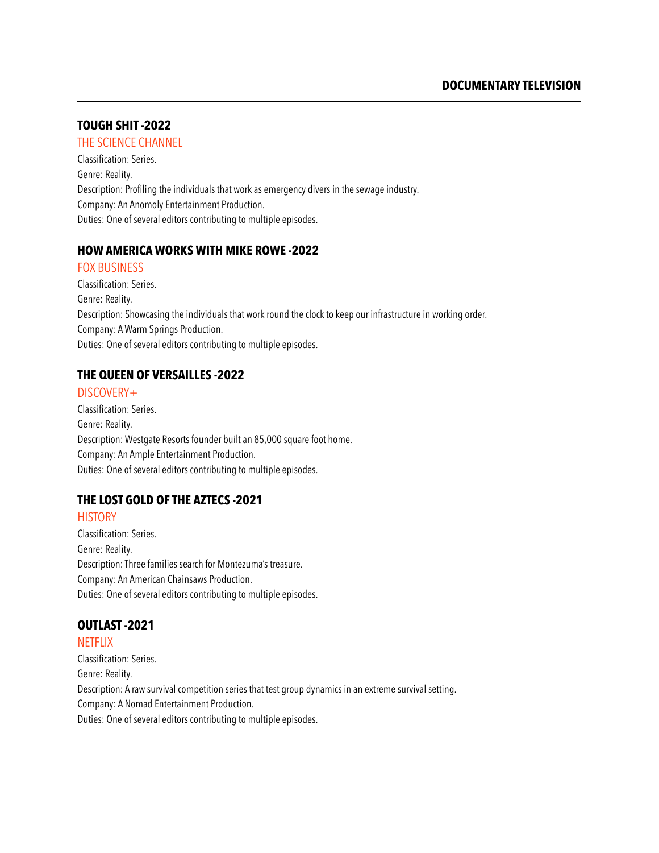#### **TOUGH SHIT -2022**

#### THE SCIENCE CHANNEL

Classification: Series. Genre: Reality. Description: Profiling the individuals that work as emergency divers in the sewage industry. Company: An Anomoly Entertainment Production. Duties: One of several editors contributing to multiple episodes.

#### **HOW AMERICA WORKS WITH MIKE ROWE -2022**

#### FOX BUSINESS

Classification: Series. Genre: Reality. Description: Showcasing the individuals that work round the clock to keep our infrastructure in working order. Company: A Warm Springs Production. Duties: One of several editors contributing to multiple episodes.

#### **THE QUEEN OF VERSAILLES -2022**

#### DISCOVERY+

Classification: Series. Genre: Reality. Description: Westgate Resorts founder built an 85,000 square foot home. Company: An Ample Entertainment Production. Duties: One of several editors contributing to multiple episodes.

# **THE LOST GOLD OF THE AZTECS -2021**

#### **HISTORY**

Classification: Series. Genre: Reality. Description: Three families search for Montezuma's treasure. Company: An American Chainsaws Production. Duties: One of several editors contributing to multiple episodes.

# **OUTLAST -2021**

#### **NETFLIX**

Classification: Series. Genre: Reality. Description: A raw survival competition series that test group dynamics in an extreme survival setting. Company: A Nomad Entertainment Production. Duties: One of several editors contributing to multiple episodes.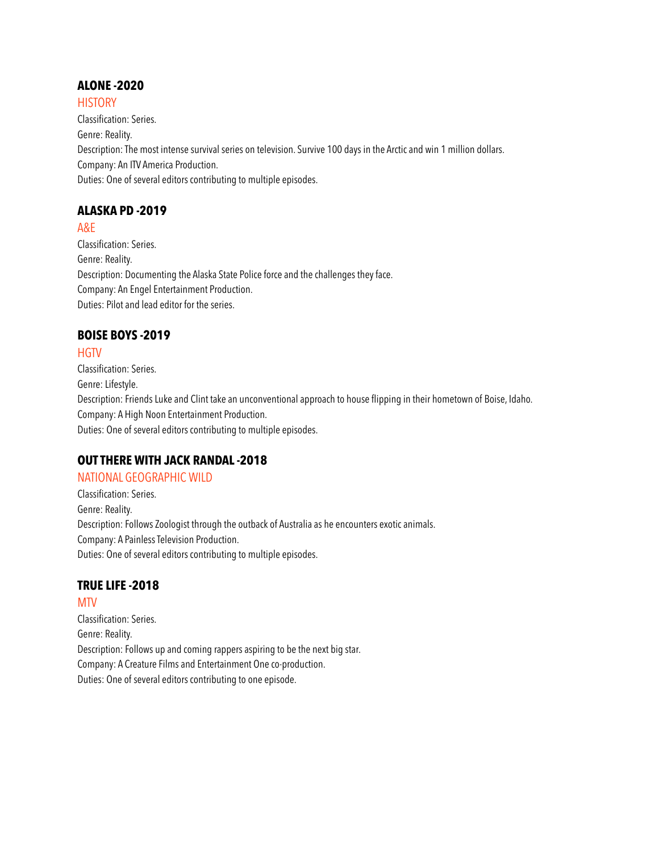#### **ALONE -2020**

#### **HISTORY**

Classification: Series. Genre: Reality. Description: The most intense survival series on television. Survive 100 days in the Arctic and win 1 million dollars. Company: An ITV America Production. Duties: One of several editors contributing to multiple episodes.

# **ALASKA PD -2019**

#### A&E

Classification: Series. Genre: Reality. Description: Documenting the Alaska State Police force and the challenges they face. Company: An Engel Entertainment Production. Duties: Pilot and lead editor for the series.

# **BOISE BOYS -2019**

#### **HGTV**

Classification: Series. Genre: Lifestyle. Description: Friends Luke and Clint take an unconventional approach to house flipping in their hometown of Boise, Idaho. Company: A High Noon Entertainment Production. Duties: One of several editors contributing to multiple episodes.

# **OUT THERE WITH JACK RANDAL -2018**

#### NATIONAL GEOGRAPHIC WILD

Classification: Series. Genre: Reality. Description: Follows Zoologist through the outback of Australia as he encounters exotic animals. Company: A Painless Television Production. Duties: One of several editors contributing to multiple episodes.

# **TRUE LIFE -2018**

MTV Classification: Series. Genre: Reality. Description: Follows up and coming rappers aspiring to be the next big star. Company: A Creature Films and Entertainment One co-production. Duties: One of several editors contributing to one episode.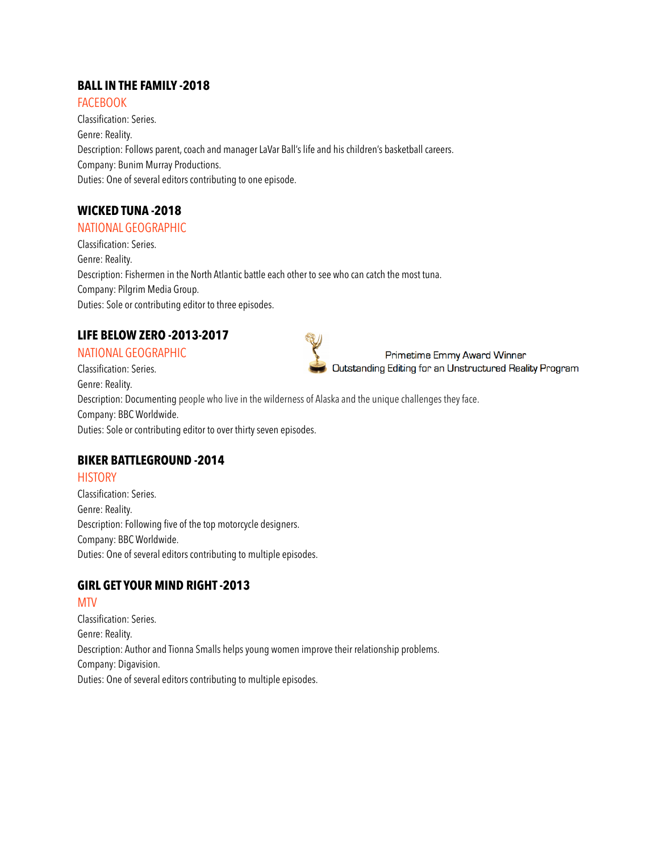# **BALL IN THE FAMILY -2018**

**FACEBOOK** Classification: Series. Genre: Reality. Description: Follows parent, coach and manager LaVar Ball's life and his children's basketball careers. Company: Bunim Murray Productions. Duties: One of several editors contributing to one episode.

# **WICKED TUNA -2018**

#### NATIONAL GEOGRAPHIC

Classification: Series. Genre: Reality. Description: Fishermen in the North Atlantic battle each other to see who can catch the most tuna. Company: Pilgrim Media Group. Duties: Sole or contributing editor to three episodes.

# **LIFE BELOW ZERO -2013-2017**

# NATIONAL GEOGRAPHIC

Classification: Series. Genre: Reality. Description: Documenting people who live in the wilderness of Alaska and the unique challenges they face. Company: BBC Worldwide. Duties: Sole or contributing editor to over thirty seven episodes.

#### **BIKER BATTLEGROUND -2014**

#### **HISTORY**

Classification: Series. Genre: Reality. Description: Following five of the top motorcycle designers. Company: BBC Worldwide. Duties: One of several editors contributing to multiple episodes.

# **GIRL GET YOUR MIND RIGHT -2013**

#### MTV

Classification: Series. Genre: Reality. Description: Author and Tionna Smalls helps young women improve their relationship problems. Company: Digavision. Duties: One of several editors contributing to multiple episodes.



Primetime Emmy Award Winner Outstanding Editing for an Unstructured Reality Program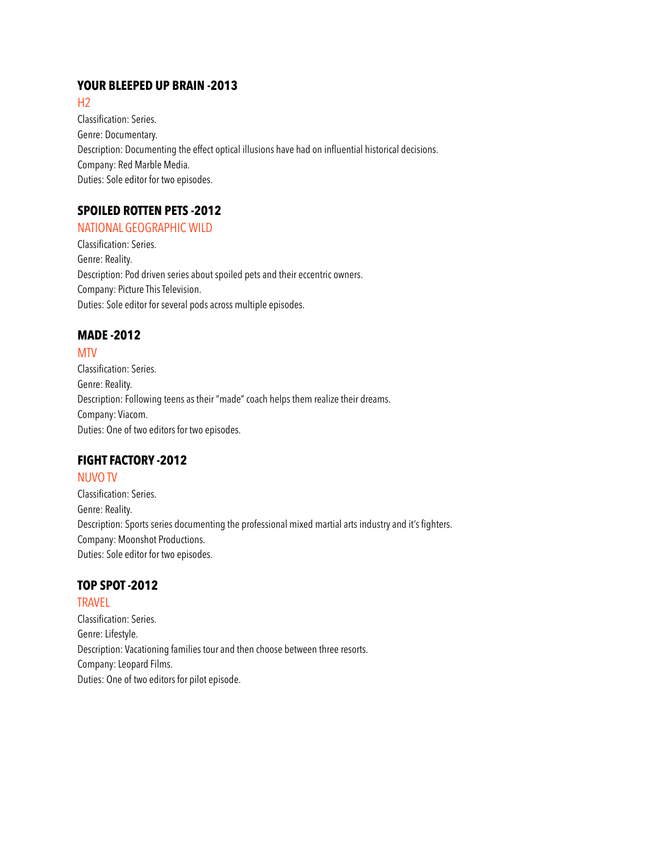#### **YOUR BLEEPED UP BRAIN -2013**

 $H<sub>2</sub>$ 

Classification: Series. Genre: Documentary. Description: Documenting the effect optical illusions have had on influential historical decisions. Company: Red Marble Media. Duties: Sole editor for two episodes.

# **SPOILED ROTTEN PETS -2012**

# NATIONAL GEOGRAPHIC WILD

Classification: Series. Genre: Reality. Description: Pod driven series about spoiled pets and their eccentric owners. Company: Picture This Television. Duties: Sole editor for several pods across multiple episodes.

# **MADE -2012**

#### MTV

Classification: Series. Genre: Reality. Description: Following teens as their "made" coach helps them realize their dreams. Company: Viacom. Duties: One of two editors for two episodes.

# **FIGHT FACTORY -2012**

#### NUVO TV

Classification: Series. Genre: Reality. Description: Sports series documenting the professional mixed martial arts industry and it's fighters. Company: Moonshot Productions. Duties: Sole editor for two episodes.

# **TOP SPOT -2012**

**TRAVFI** Classification: Series. Genre: Lifestyle. Description: Vacationing families tour and then choose between three resorts. Company: Leopard Films. Duties: One of two editors for pilot episode.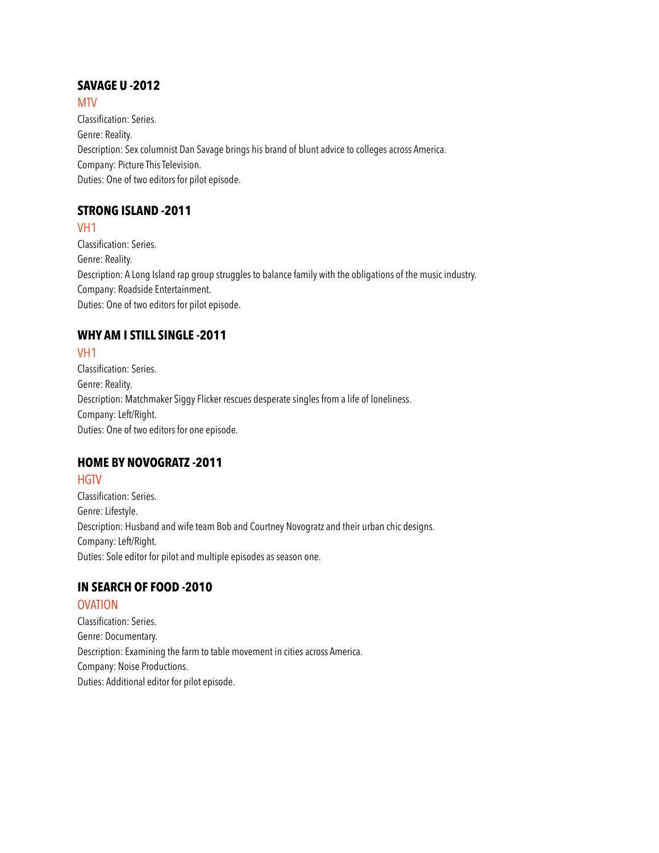# **SAVAGE U -2012**

**MTV** 

Classification: Series. Genre: Reality. Description: Sex columnist Dan Savage brings his brand of blunt advice to colleges across America. Company: Picture This Television. Duties: One of two editors for pilot episode.

# **STRONG ISLAND -2011**

VH1

Classification: Series. Genre: Reality. Description: A Long Island rap group struggles to balance family with the obligations of the music industry. Company: Roadside Entertainment. Duties: One of two editors for pilot episode.

# **WHY AM I STILL SINGLE -2011**

# VH1

Classification: Series. Genre: Reality. Description: Matchmaker Siggy Flicker rescues desperate singles from a life of loneliness. Company: Left/Right. Duties: One of two editors for one episode.

# **HOME BY NOVOGRATZ -2011**

# **HGTV**

Classification: Series. Genre: Lifestyle. Description: Husband and wife team Bob and Courtney Novogratz and their urban chic designs. Company: Left/Right. Duties: Sole editor for pilot and multiple episodes as season one.

# **IN SEARCH OF FOOD -2010**

# OVATION

Classification: Series. Genre: Documentary. Description: Examining the farm to table movement in cities across America. Company: Noise Productions. Duties: Additional editor for pilot episode.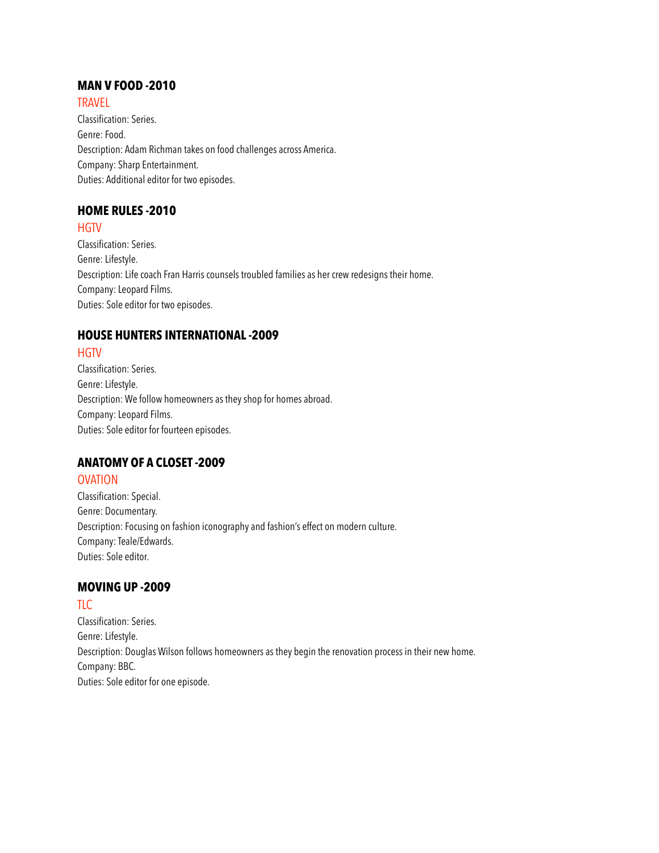# **MAN V FOOD -2010**

**TRAVEL** Classification: Series. Genre: Food. Description: Adam Richman takes on food challenges across America. Company: Sharp Entertainment. Duties: Additional editor for two episodes.

#### **HOME RULES -2010**

**HGTV** 

Classification: Series. Genre: Lifestyle. Description: Life coach Fran Harris counsels troubled families as her crew redesigns their home. Company: Leopard Films. Duties: Sole editor for two episodes.

#### **HOUSE HUNTERS INTERNATIONAL -2009**

# **HGTV**

Classification: Series. Genre: Lifestyle. Description: We follow homeowners as they shop for homes abroad. Company: Leopard Films. Duties: Sole editor for fourteen episodes.

#### **ANATOMY OF A CLOSET -2009**

#### OVATION

Classification: Special. Genre: Documentary. Description: Focusing on fashion iconography and fashion's effect on modern culture. Company: Teale/Edwards. Duties: Sole editor.

# **MOVING UP -2009**

TLC Classification: Series. Genre: Lifestyle. Description: Douglas Wilson follows homeowners as they begin the renovation process in their new home. Company: BBC. Duties: Sole editor for one episode.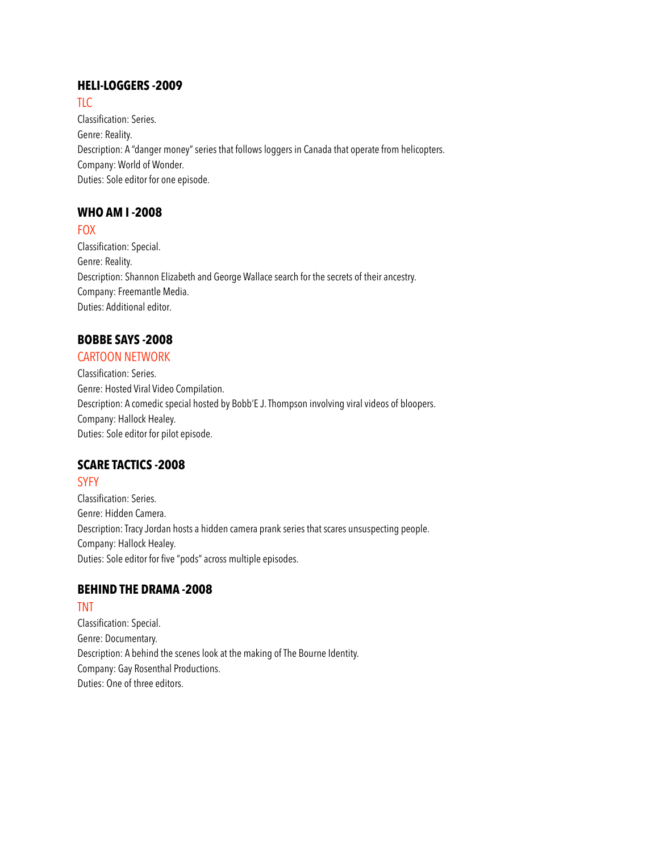#### **HELI-LOGGERS -2009**

#### TLC.

Classification: Series. Genre: Reality. Description: A "danger money" series that follows loggers in Canada that operate from helicopters. Company: World of Wonder. Duties: Sole editor for one episode.

# **WHO AM I -2008**

#### FOX

Classification: Special. Genre: Reality. Description: Shannon Elizabeth and George Wallace search for the secrets of their ancestry. Company: Freemantle Media. Duties: Additional editor.

#### **BOBBE SAYS -2008**

#### CARTOON NETWORK

Classification: Series. Genre: Hosted Viral Video Compilation. Description: A comedic special hosted by Bobb'E J. Thompson involving viral videos of bloopers. Company: Hallock Healey. Duties: Sole editor for pilot episode.

#### **SCARE TACTICS -2008**

# **SYFY**

Classification: Series. Genre: Hidden Camera. Description: Tracy Jordan hosts a hidden camera prank series that scares unsuspecting people. Company: Hallock Healey. Duties: Sole editor for five "pods" across multiple episodes.

# **BEHIND THE DRAMA -2008**

# TNT

Classification: Special. Genre: Documentary. Description: A behind the scenes look at the making of The Bourne Identity. Company: Gay Rosenthal Productions. Duties: One of three editors.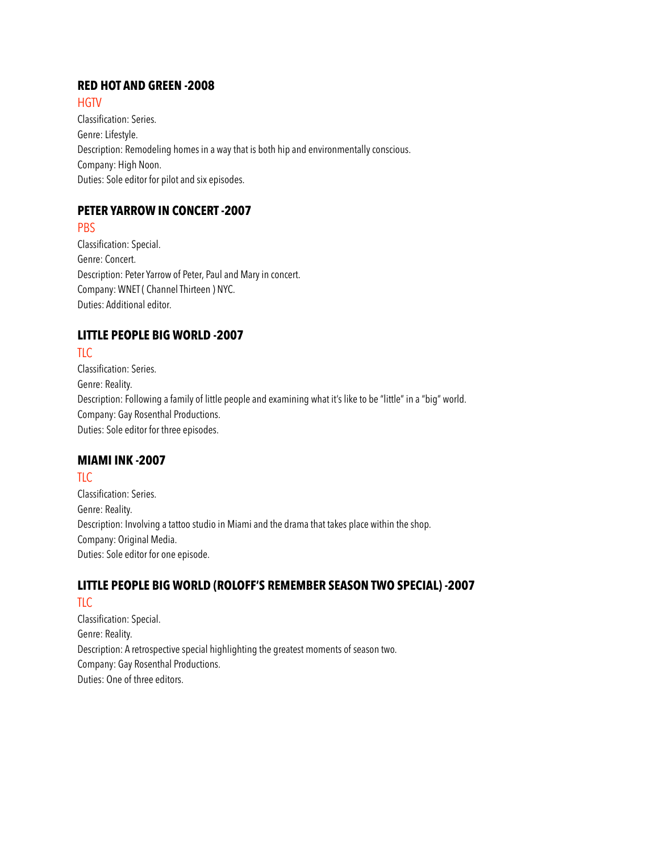#### **RED HOT AND GREEN -2008**

#### **HGTV**

Classification: Series. Genre: Lifestyle. Description: Remodeling homes in a way that is both hip and environmentally conscious. Company: High Noon. Duties: Sole editor for pilot and six episodes.

# **PETER YARROW IN CONCERT -2007**

#### **PBS**

Classification: Special. Genre: Concert. Description: Peter Yarrow of Peter, Paul and Mary in concert. Company: WNET ( Channel Thirteen ) NYC. Duties: Additional editor.

# **LITTLE PEOPLE BIG WORLD -2007**

# $TLC$

Classification: Series. Genre: Reality. Description: Following a family of little people and examining what it's like to be "little" in a "big" world. Company: Gay Rosenthal Productions. Duties: Sole editor for three episodes.

#### **MIAMI INK -2007**

# TLC

Classification: Series. Genre: Reality. Description: Involving a tattoo studio in Miami and the drama that takes place within the shop. Company: Original Media. Duties: Sole editor for one episode.

#### **LITTLE PEOPLE BIG WORLD (ROLOFF'S REMEMBER SEASON TWO SPECIAL) -2007** TLC

Classification: Special. Genre: Reality. Description: A retrospective special highlighting the greatest moments of season two. Company: Gay Rosenthal Productions. Duties: One of three editors.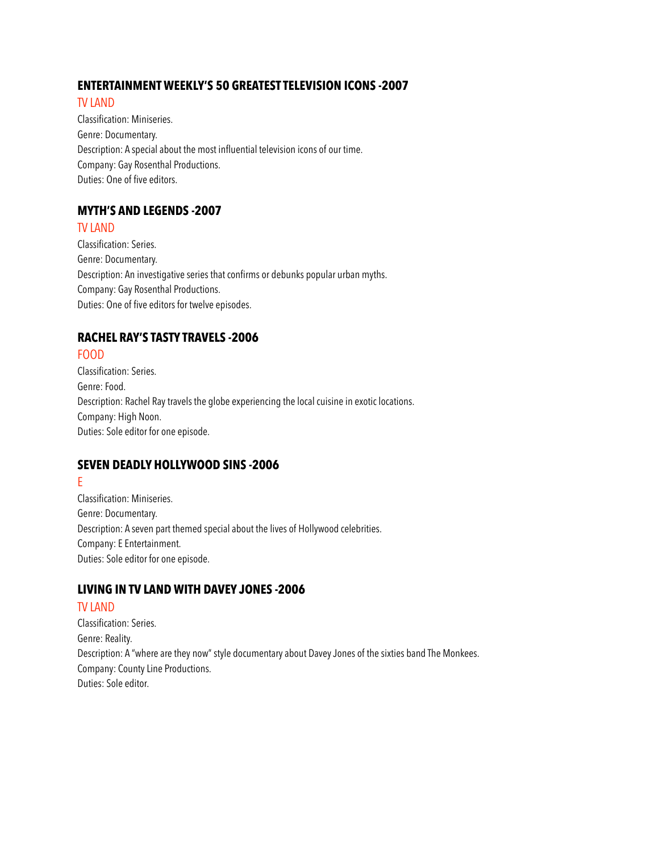#### **ENTERTAINMENT WEEKLY'S 50 GREATEST TELEVISION ICONS -2007**

#### TV LAND

Classification: Miniseries. Genre: Documentary. Description: A special about the most influential television icons of our time. Company: Gay Rosenthal Productions. Duties: One of five editors.

# **MYTH'S AND LEGENDS -2007**

#### TV LAND

Classification: Series. Genre: Documentary. Description: An investigative series that confirms or debunks popular urban myths. Company: Gay Rosenthal Productions. Duties: One of five editors for twelve episodes.

# **RACHEL RAY'S TASTY TRAVELS -2006**

# FOOD

Classification: Series. Genre: Food. Description: Rachel Ray travels the globe experiencing the local cuisine in exotic locations. Company: High Noon. Duties: Sole editor for one episode.

# **SEVEN DEADLY HOLLYWOOD SINS -2006**

#### E

Classification: Miniseries. Genre: Documentary. Description: A seven part themed special about the lives of Hollywood celebrities. Company: E Entertainment. Duties: Sole editor for one episode.

# **LIVING IN TV LAND WITH DAVEY JONES -2006**

# TV LAND

Classification: Series. Genre: Reality. Description: A "where are they now" style documentary about Davey Jones of the sixties band The Monkees. Company: County Line Productions. Duties: Sole editor.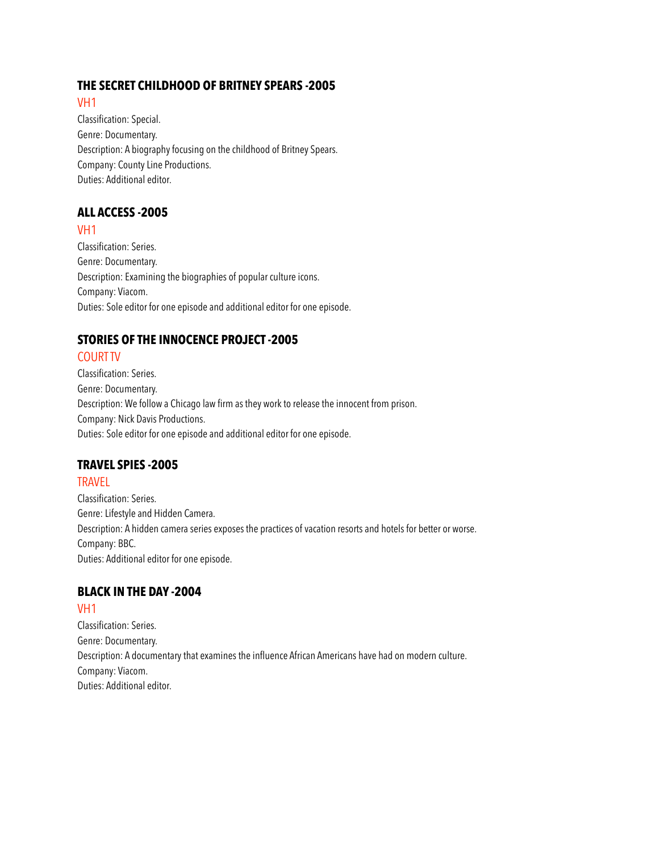#### **THE SECRET CHILDHOOD OF BRITNEY SPEARS -2005**

#### VH1

Classification: Special. Genre: Documentary. Description: A biography focusing on the childhood of Britney Spears. Company: County Line Productions. Duties: Additional editor.

# **ALL ACCESS -2005**

#### VH1

Classification: Series. Genre: Documentary. Description: Examining the biographies of popular culture icons. Company: Viacom. Duties: Sole editor for one episode and additional editor for one episode.

# **STORIES OF THE INNOCENCE PROJECT -2005**

# COURT TV

Classification: Series. Genre: Documentary. Description: We follow a Chicago law firm as they work to release the innocent from prison. Company: Nick Davis Productions. Duties: Sole editor for one episode and additional editor for one episode.

# **TRAVEL SPIES -2005**

#### **TRAVEL**

Classification: Series. Genre: Lifestyle and Hidden Camera. Description: A hidden camera series exposes the practices of vacation resorts and hotels for better or worse. Company: BBC. Duties: Additional editor for one episode.

# **BLACK IN THE DAY -2004**

#### VH1

Classification: Series. Genre: Documentary. Description: A documentary that examines the influence African Americans have had on modern culture. Company: Viacom. Duties: Additional editor.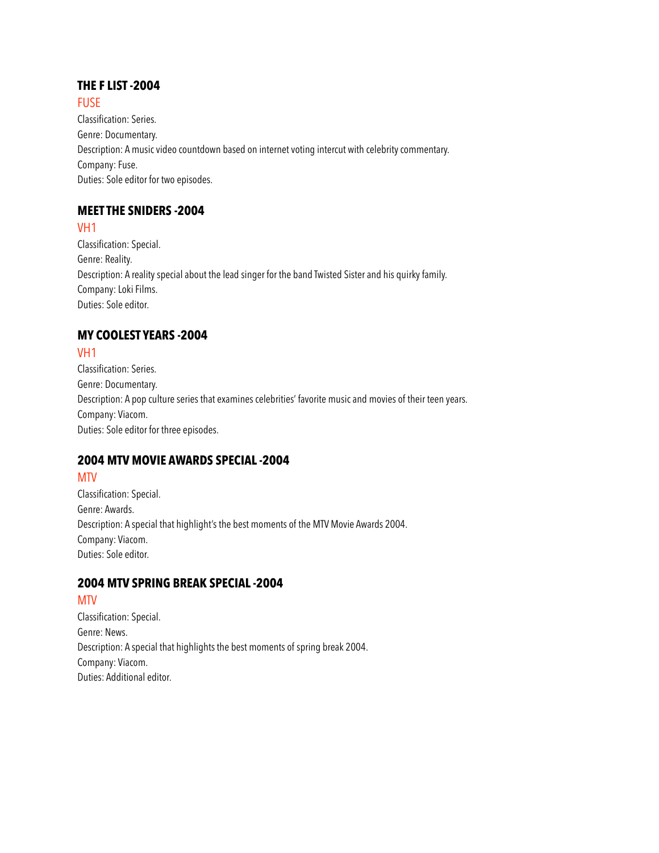#### **THE F LIST -2004**

**FUSE** 

Classification: Series. Genre: Documentary. Description: A music video countdown based on internet voting intercut with celebrity commentary. Company: Fuse. Duties: Sole editor for two episodes.

# **MEET THE SNIDERS -2004**

VH1

Classification: Special. Genre: Reality. Description: A reality special about the lead singer for the band Twisted Sister and his quirky family. Company: Loki Films. Duties: Sole editor.

# **MY COOLEST YEARS -2004**

# VH1

Classification: Series. Genre: Documentary. Description: A pop culture series that examines celebrities' favorite music and movies of their teen years. Company: Viacom. Duties: Sole editor for three episodes.

# **2004 MTV MOVIE AWARDS SPECIAL -2004**

# **MTV**

Classification: Special. Genre: Awards. Description: A special that highlight's the best moments of the MTV Movie Awards 2004. Company: Viacom. Duties: Sole editor.

# **2004 MTV SPRING BREAK SPECIAL -2004**

# MTV

Classification: Special. Genre: News. Description: A special that highlights the best moments of spring break 2004. Company: Viacom. Duties: Additional editor.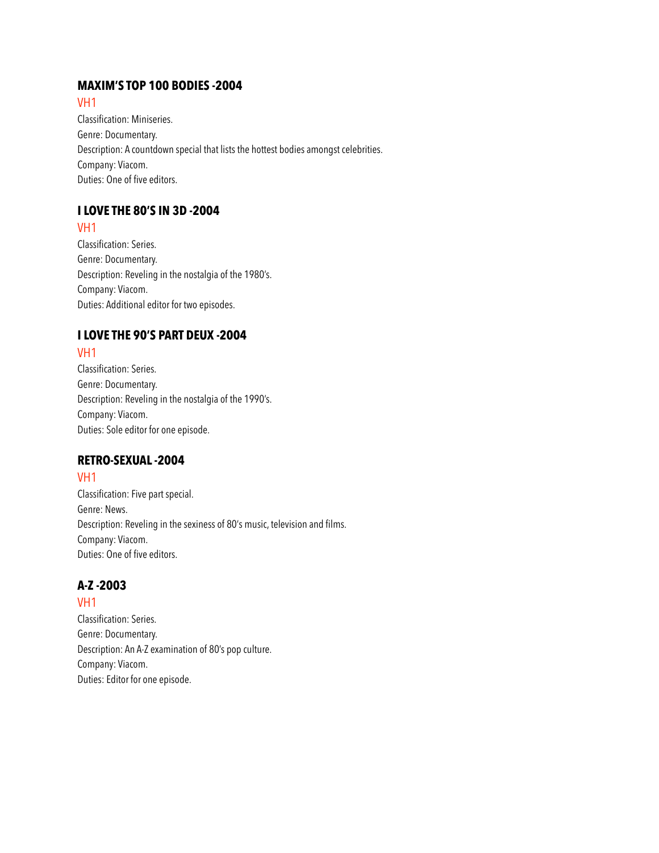## **MAXIM'S TOP 100 BODIES -2004**

#### VH1

Classification: Miniseries. Genre: Documentary. Description: A countdown special that lists the hottest bodies amongst celebrities. Company: Viacom. Duties: One of five editors.

# **I LOVE THE 80'S IN 3D -2004**

# VH1

Classification: Series. Genre: Documentary. Description: Reveling in the nostalgia of the 1980's. Company: Viacom. Duties: Additional editor for two episodes.

# **I LOVE THE 90'S PART DEUX -2004**

# VH1

Classification: Series. Genre: Documentary. Description: Reveling in the nostalgia of the 1990's. Company: Viacom. Duties: Sole editor for one episode.

# **RETRO-SEXUAL -2004**

# VH1

Classification: Five part special. Genre: News. Description: Reveling in the sexiness of 80's music, television and films. Company: Viacom. Duties: One of five editors.

# **A-Z -2003**

VH1 Classification: Series. Genre: Documentary. Description: An A-Z examination of 80's pop culture. Company: Viacom. Duties: Editor for one episode.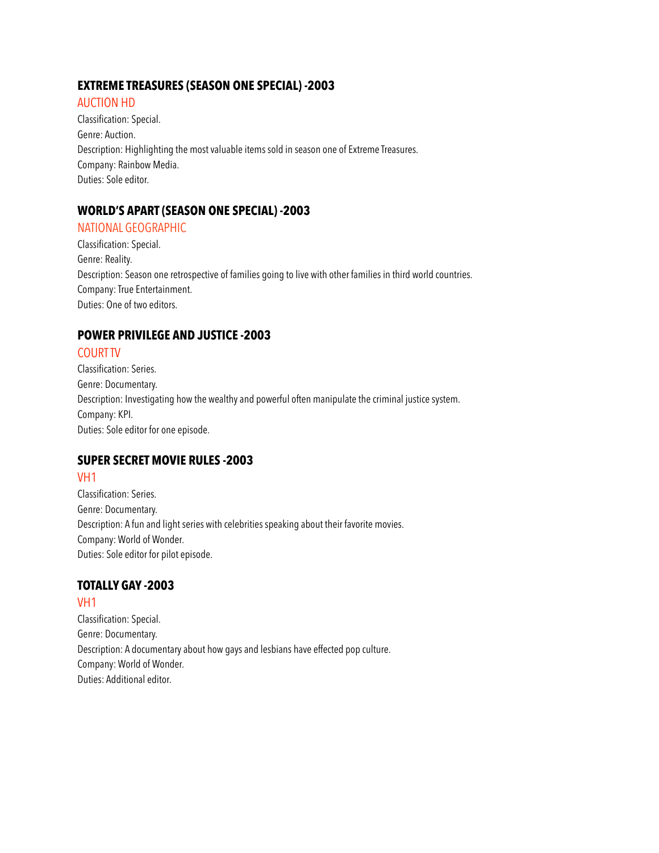#### **EXTREME TREASURES (SEASON ONE SPECIAL) -2003**

#### AUCTION HD

Classification: Special. Genre: Auction. Description: Highlighting the most valuable items sold in season one of Extreme Treasures. Company: Rainbow Media. Duties: Sole editor.

# **WORLD'S APART (SEASON ONE SPECIAL) -2003**

#### NATIONAL GEOGRAPHIC

Classification: Special. Genre: Reality. Description: Season one retrospective of families going to live with other families in third world countries. Company: True Entertainment. Duties: One of two editors.

# **POWER PRIVILEGE AND JUSTICE -2003**

#### COURT TV

Classification: Series. Genre: Documentary. Description: Investigating how the wealthy and powerful often manipulate the criminal justice system. Company: KPI. Duties: Sole editor for one episode.

# **SUPER SECRET MOVIE RULES -2003**

# VH1

Classification: Series. Genre: Documentary. Description: A fun and light series with celebrities speaking about their favorite movies. Company: World of Wonder. Duties: Sole editor for pilot episode.

# **TOTALLY GAY -2003**

VH1 Classification: Special. Genre: Documentary. Description: A documentary about how gays and lesbians have effected pop culture. Company: World of Wonder. Duties: Additional editor.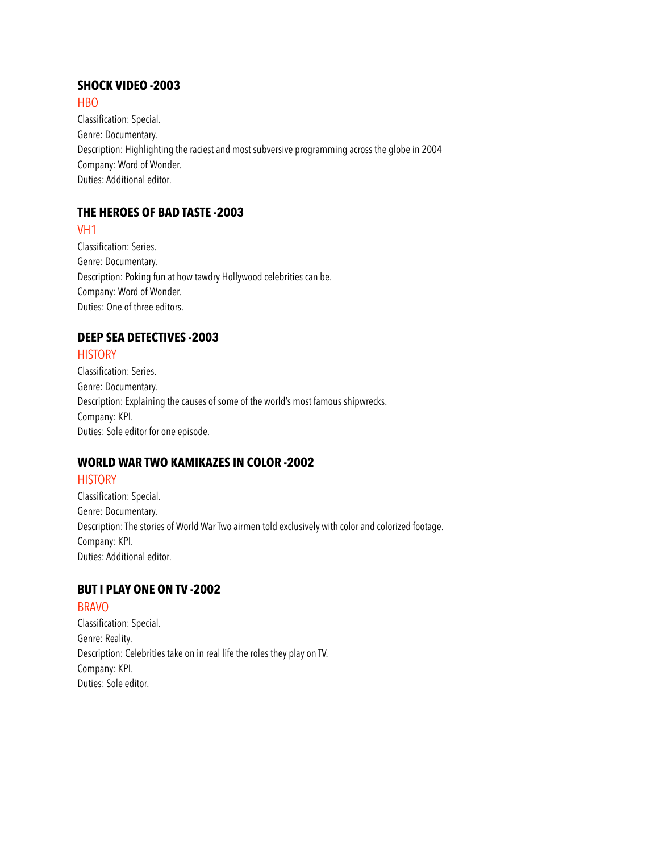# **SHOCK VIDEO -2003**

HBO

Classification: Special. Genre: Documentary. Description: Highlighting the raciest and most subversive programming across the globe in 2004 Company: Word of Wonder. Duties: Additional editor.

# **THE HEROES OF BAD TASTE -2003**

#### VH1

Classification: Series. Genre: Documentary. Description: Poking fun at how tawdry Hollywood celebrities can be. Company: Word of Wonder. Duties: One of three editors.

# **DEEP SEA DETECTIVES -2003**

#### **HISTORY**

Classification: Series. Genre: Documentary. Description: Explaining the causes of some of the world's most famous shipwrecks. Company: KPI. Duties: Sole editor for one episode.

# **WORLD WAR TWO KAMIKAZES IN COLOR -2002**

# **HISTORY**

Classification: Special. Genre: Documentary. Description: The stories of World War Two airmen told exclusively with color and colorized footage. Company: KPI. Duties: Additional editor.

# **BUT I PLAY ONE ON TV -2002**

# BRAVO

Classification: Special. Genre: Reality. Description: Celebrities take on in real life the roles they play on TV. Company: KPI. Duties: Sole editor.